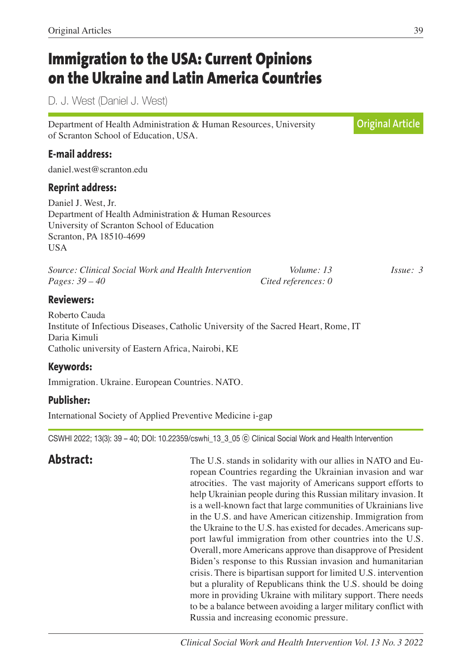## **Immigration to the USA: Current Opinions on the Ukraine and Latin America Countries**

D. J. West (Daniel J. West)

Department of Health Administration & Human Resources, University of Scranton School of Education, USA. **E-mail address:** daniel.west@scranton.edu **Reprint address:** Daniel J. West, Jr. Department of Health Administration & Human Resources University of Scranton School of Education Scranton, PA 18510-4699 **USA** *Source: Clinical Social Work and Health Intervention Volume: 13 Issue: 3 Pages: 39 – 40 Cited references: 0* **Reviewers:** Roberto Cauda Institute of Infectious Diseases, Catholic University of the Sacred Heart, Rome, IT Daria Kimuli Catholic university of Eastern Africa, Nairobi, KE **Keywords:** Immigration. Ukraine. European Countries. NATO. **Original Article**

## **Publisher:**

International Society of Applied Preventive Medicine i-gap

CSWHI 2022; 13(3): 39 – 40; DOI: 10.22359/cswhi\_13\_3\_05 ⓒ Clinical Social Work and Health Intervention

**Abstract:** The U.S. stands in solidarity with our allies in NATO and European Countries regarding the Ukrainian invasion and war atrocities. The vast majority of Americans support efforts to help Ukrainian people during this Russian military invasion. It is a well-known fact that large communities of Ukrainians live in the U.S. and have American citizenship. Immigration from the Ukraine to the U.S. has existed for decades. Americans support lawful immigration from other countries into the U.S. Overall, more Americans approve than disapprove of President Biden's response to this Russian invasion and humanitarian crisis. There is bipartisan support for limited U.S. intervention but a plurality of Republicans think the U.S. should be doing more in providing Ukraine with military support. There needs to be a balance between avoiding a larger military conflict with Russia and increasing economic pressure.

Original Articles 39